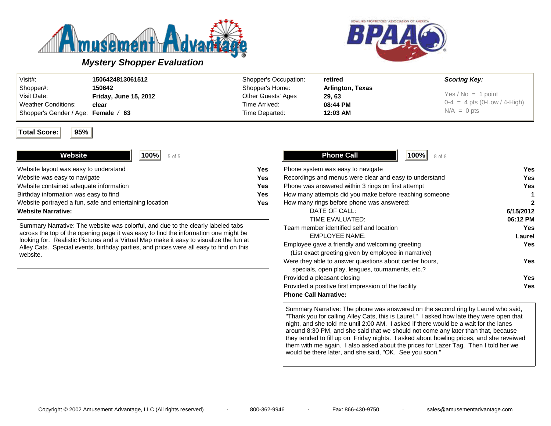



# *Mystery Shopper Evaluation*

| Visit#:                             | 1506424813061512             | Shopper's Occupation: | retired                 | <b>Scoring Key:</b>            |
|-------------------------------------|------------------------------|-----------------------|-------------------------|--------------------------------|
| Shopper#:                           | 150642                       | Shopper's Home:       | <b>Arlington, Texas</b> |                                |
| Visit Date:                         | <b>Friday, June 15, 2012</b> | Other Guests' Ages    | 29.63                   | $Yes/No = 1 point$             |
| <b>Weather Conditions:</b>          | clear                        | Time Arrived:         | 08:44 PM                | $0-4 = 4$ pts (0-Low / 4-High) |
| Shopper's Gender / Age: Female / 63 |                              | Time Departed:        | 12:03 AM                | $N/A = 0$ pts                  |

#### **Total Score: 95%**

| 100%<br>Website<br>5 of 5                               |     |
|---------------------------------------------------------|-----|
| Website layout was easy to understand                   | Yes |
| Website was easy to navigate                            | Yes |
| Website contained adequate information                  | Yes |
| Birthday information was easy to find                   | Yes |
| Website portrayed a fun, safe and entertaining location | Yes |
| <b>Website Narrative:</b>                               |     |

Summary Narrative: The website was colorful, and due to the clearly labeled tabs across the top of the opening page it was easy to find the information one might be looking for. Realistic Pictures and a Virtual Map make it easy to visualize the fun at Alley Cats. Special events, birthday parties, and prices were all easy to find on this website.

| <b>Phone Call</b><br>100%<br>8 of 8                    |              |
|--------------------------------------------------------|--------------|
| Phone system was easy to navigate                      | Yes          |
| Recordings and menus were clear and easy to understand | Yes          |
| Phone was answered within 3 rings on first attempt     | Yes          |
| How many attempts did you make before reaching someone | 1            |
| How many rings before phone was answered:              | $\mathbf{2}$ |
| DATE OF CALL:                                          | 6/15/2012    |
| TIME EVALUATED:                                        | 06:12 PM     |
| Team member identified self and location               | Yes          |
| <b>EMPLOYEE NAME:</b>                                  | Laurel       |
| Employee gave a friendly and welcoming greeting        | Yes          |
| (List exact greeting given by employee in narrative)   |              |
| Were they able to answer questions about center hours, | Yes          |
| specials, open play, leagues, tournaments, etc.?       |              |
| Provided a pleasant closing                            | Yes          |
| Provided a positive first impression of the facility   | Yes          |
| <b>Phone Call Narrative:</b>                           |              |

Summary Narrative: The phone was answered on the second ring by Laurel who said, "Thank you for calling Alley Cats, this is Laurel." I asked how late they were open that night, and she told me until 2:00 AM. I asked if there would be a wait for the lanes around 8:30 PM, and she said that we should not come any later than that, because they tended to fill up on Friday nights. I asked about bowling prices, and she reveiwed them with me again. I also asked about the prices for Lazer Tag. Then I told her we would be there later, and she said, "OK. See you soon."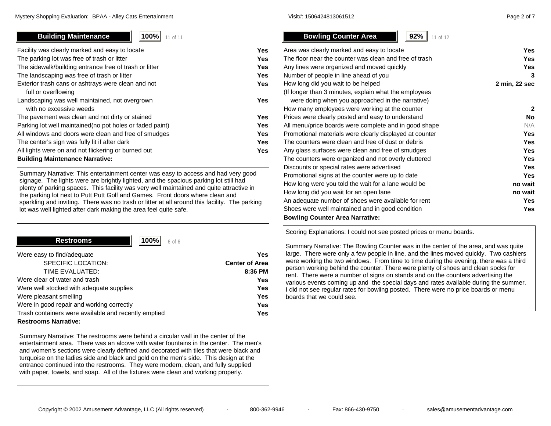# **Building Maintenance 1 100%** 11 of 11

| Facility was clearly marked and easy to locate            | Yes |
|-----------------------------------------------------------|-----|
| The parking lot was free of trash or litter               | Yes |
| The sidewalk/building entrance free of trash or litter    | Yes |
| The landscaping was free of trash or litter               | Yes |
| Exterior trash cans or ashtrays were clean and not        | Yes |
| full or overflowing                                       |     |
| Landscaping was well maintained, not overgrown            | Yes |
| with no excessive weeds                                   |     |
| The pavement was clean and not dirty or stained           | Yes |
| Parking lot well maintained (no pot holes or faded paint) | Yes |
| All windows and doors were clean and free of smudges      | Yes |
| The center's sign was fully lit if after dark             | Yes |
| All lights were on and not flickering or burned out       | Yes |
| <b>Building Maintenance Narrative:</b>                    |     |

Summary Narrative: This entertainment center was easy to access and had very good signage. The lights were are brightly lighted, and the spacious parking lot still had plenty of parking spaces. This facility was very well maintained and quite attractive in the parking lot next to Putt Putt Golf and Games. Front doors where clean and sparkling and inviting. There was no trash or litter at all around this facility. The parking lot was well lighted after dark making the area feel quite safe.

| <b>Restrooms</b><br>100%<br>$6$ of $6$               |                       |
|------------------------------------------------------|-----------------------|
| Were easy to find/adequate                           | Yes.                  |
| SPECIFIC LOCATION:                                   | <b>Center of Area</b> |
| TIME EVALUATED:                                      | 8:36 PM               |
| Were clear of water and trash                        | <b>Yes</b>            |
| Were well stocked with adequate supplies             | <b>Yes</b>            |
| Were pleasant smelling                               | <b>Yes</b>            |
| Were in good repair and working correctly            | <b>Yes</b>            |
| Trash containers were available and recently emptied | <b>Yes</b>            |
| <b>Restrooms Narrative:</b>                          |                       |

**Contract Contract Contract Contract** 

Summary Narrative: The restrooms were behind a circular wall in the center of the entertainment area. There was an alcove with water fountains in the center. The men's and women's sections were clearly defined and decorated with tiles that were black and turquoise on the ladies side and black and gold on the men's side. This design at the entrance continued into the restrooms. They were modern, clean, and fully supplied with paper, towels, and soap. All of the fixtures were clean and working properly.

| <b>Bowling Counter Area</b><br>92%<br>11 of 12          |               |
|---------------------------------------------------------|---------------|
| Area was clearly marked and easy to locate              | Yes           |
| The floor near the counter was clean and free of trash  | Yes           |
| Any lines were organized and moved quickly              | Yes           |
| Number of people in line ahead of you                   | 3             |
| How long did you wait to be helped                      | 2 min, 22 sec |
| (If longer than 3 minutes, explain what the employees   |               |
| were doing when you approached in the narrative)        |               |
| How many employees were working at the counter          | $\mathbf{2}$  |
| Prices were clearly posted and easy to understand       | No            |
| All menu/price boards were complete and in good shape   | N/A           |
| Promotional materials were clearly displayed at counter | Yes           |
| The counters were clean and free of dust or debris      | Yes           |
| Any glass surfaces were clean and free of smudges       | Yes           |
| The counters were organized and not overly cluttered    | Yes           |
| Discounts or special rates were advertised              | Yes           |
| Promotional signs at the counter were up to date        | Yes           |
| How long were you told the wait for a lane would be     | no wait       |
| How long did you wait for an open lane                  | no wait       |
| An adequate number of shoes were available for rent     | Yes           |
| Shoes were well maintained and in good condition        | Yes           |

**Bowling Counter Area Narrative:**

Scoring Explanations: I could not see posted prices or menu boards.

Summary Narrative: The Bowling Counter was in the center of the area, and was quite large. There were only a few people in line, and the lines moved quickly. Two cashiers were working the two windows. From time to time during the evening, there was a third person working behind the counter. There were plenty of shoes and clean socks for rent. There were a number of signs on stands and on the counters advertising the various events coming up and the special days and rates available during the summer. I did not see regular rates for bowling posted. There were no price boards or menu boards that we could see.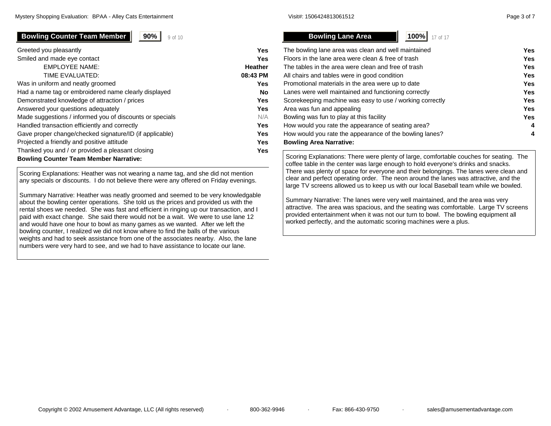# **Bowling Counter Team Member | 90%** | 9 of 10

| Greeted you pleasantly                                   | Yes      |
|----------------------------------------------------------|----------|
| Smiled and made eye contact                              | Yes      |
| <b>EMPLOYEE NAME:</b>                                    | Heather  |
| TIME EVALUATED:                                          | 08:43 PM |
| Was in uniform and neatly groomed                        | Yes      |
| Had a name tag or embroidered name clearly displayed     | No       |
| Demonstrated knowledge of attraction / prices            | Yes      |
| Answered your questions adequately                       | Yes      |
| Made suggestions / informed you of discounts or specials | N/A      |
| Handled transaction efficiently and correctly            | Yes      |
| Gave proper change/checked signature/ID (if applicable)  | Yes      |
| Projected a friendly and positive attitude               | Yes      |
| Thanked you and / or provided a pleasant closing         | Yes      |
| <b>Bowling Counter Team Member Narrative:</b>            |          |

Scoring Explanations: Heather was not wearing a name tag, and she did not mention any specials or discounts. I do not believe there were any offered on Friday evenings.

Summary Narrative: Heather was neatly groomed and seemed to be very knowledgable about the bowling center operations. She told us the prices and provided us with the rental shoes we needed. She was fast and efficient in ringing up our transaction, and I paid with exact change. She said there would not be a wait. We were to use lane 12 and would have one hour to bowl as many games as we wanted. After we left the bowling counter, I realized we did not know where to find the balls of the various weights and had to seek assistance from one of the associates nearby. Also, the lane numbers were very hard to see, and we had to have assistance to locate our lane.

**Bowling Lane Area 100%** 17 of 17 The bowling lane area was clean and well maintained **Yes** Floors in the lane area were clean & free of trash **Yes**The tables in the area were clean and free of trash **Yes**All chairs and tables were in good condition **Yes** Promotional materials in the area were up to date **Yes** Lanes were well maintained and functioning correctly **Yes** Scorekeeping machine was easy to use / working correctly **Yes** Area was fun and appealing **Yes** Bowling was fun to play at this facility **Yes** How would you rate the appearance of seating area? **4** How would you rate the appearance of the bowling lanes? **4 Bowling Area Narrative:**

Scoring Explanations: There were plenty of large, comfortable couches for seating. The coffee table in the center was large enough to hold everyone's drinks and snacks. There was plenty of space for everyone and their belongings. The lanes were clean and clear and perfect operating order. The neon around the lanes was attractive, and the large TV screens allowed us to keep us with our local Baseball team while we bowled.

Summary Narrative: The lanes were very well maintained, and the area was very attractive. The area was spacious, and the seating was comfortable. Large TV screens provided entertainment when it was not our turn to bowl. The bowling equipment all worked perfectly, and the automatic scoring machines were a plus.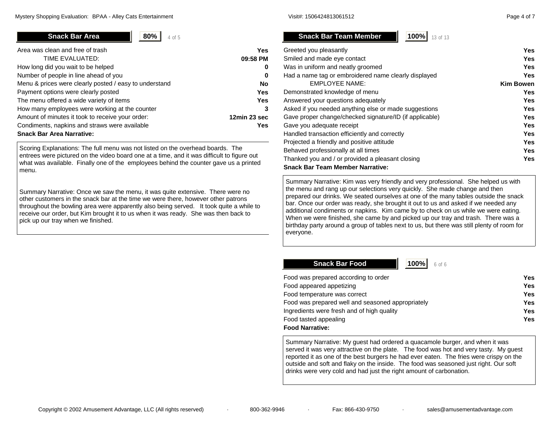**80%** $\frac{9}{6}$  | 4 of 5

| Area was clean and free of trash                       | Yes          |
|--------------------------------------------------------|--------------|
| TIME EVALUATED:                                        | 09:58 PM     |
| How long did you wait to be helped                     | 0            |
| Number of people in line ahead of you                  | 0            |
| Menu & prices were clearly posted / easy to understand | <b>No</b>    |
| Payment options were clearly posted                    | <b>Yes</b>   |
| The menu offered a wide variety of items               | <b>Yes</b>   |
| How many employees were working at the counter         | 3            |
| Amount of minutes it took to receive your order:       | 12min 23 sec |
| Condiments, napkins and straws were available          | Yes          |
| <b>Snack Bar Area Narrative:</b>                       |              |

Scoring Explanations: The full menu was not listed on the overhead boards. The entrees were pictured on the video board one at a time, and it was difficult to figure out what was available. Finally one of the employees behind the counter gave us a printed menu.

Summary Narrative: Once we saw the menu, it was quite extensive. There were no other customers in the snack bar at the time we were there, however other patrons throughout the bowling area were apparently also being served. It took quite a while to receive our order, but Kim brought it to us when it was ready. She was then back to pick up our tray when we finished.

**Snack Bar Team Mem** 

**100%**

| Shack Bar Team Member<br><b>100%</b> 13 of 13        |                  |
|------------------------------------------------------|------------------|
| Greeted you pleasantly                               | Yes              |
| Smiled and made eye contact                          | <b>Yes</b>       |
| Was in uniform and neatly groomed                    | Yes              |
| Had a name tag or embroidered name clearly displayed | Yes              |
| <b>EMPLOYEE NAME:</b>                                | <b>Kim Bowen</b> |
| Demonstrated knowledge of menu                       | Yes              |
|                                                      |                  |

| Demonstrated knowledge of menu                          | Yes        |
|---------------------------------------------------------|------------|
| Answered your questions adequately                      | <b>Yes</b> |
| Asked if you needed anything else or made suggestions   | <b>Yes</b> |
| Gave proper change/checked signature/ID (if applicable) | Yes        |
| Gave you adequate receipt                               | Yes        |
| Handled transaction efficiently and correctly           | Yes        |
| Projected a friendly and positive attitude              | Yes        |
| Behaved professionally at all times                     | <b>Yes</b> |
| Thanked you and / or provided a pleasant closing        | Yes        |
| <b>Snack Bar Team Member Narrative:</b>                 |            |

Summary Narrative: Kim was very friendly and very professional. She helped us with the menu and rang up our selections very quickly. She made change and then prepared our drinks. We seated ourselves at one of the many tables outside the snack bar. Once our order was ready, she brought it out to us and asked if we needed any additional condiments or napkins. Kim came by to check on us while we were eating. When we were finished, she came by and picked up our tray and trash. There was a birthday party around a group of tables next to us, but there was still plenty of room for everyone.

**Snack Bar Food**

 **100%** $\gamma_0$  6 of 6

| Food was prepared according to order              | Yes |
|---------------------------------------------------|-----|
| Food appeared appetizing                          | Yes |
| Food temperature was correct                      | Yes |
| Food was prepared well and seasoned appropriately | Yes |
| Ingredients were fresh and of high quality        | Yes |
| Food tasted appealing                             | Yes |
| <b>Food Narrative:</b>                            |     |

Summary Narrative: My guest had ordered a quacamole burger, and when it was served it was very attractive on the plate. The food was hot and very tasty. My guest reported it as one of the best burgers he had ever eaten. The fries were crispy on the outside and soft and flaky on the inside. The food was seasoned just right. Our soft drinks were very cold and had just the right amount of carbonation.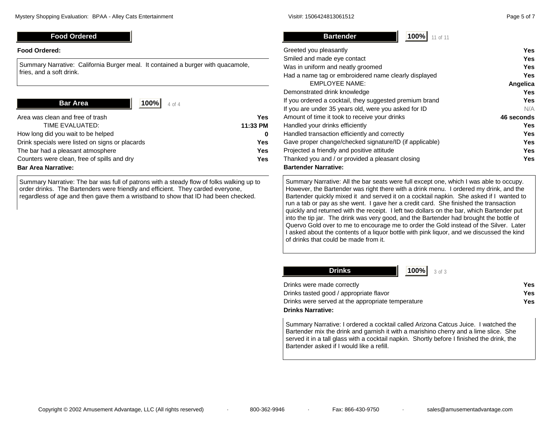**Bartender**

## **Food Ordered**

#### **Food Ordered:**

Summary Narrative: California Burger meal. It contained a burger with quacamole, fries, and a soft drink.

**Bar Area**

 **100%** $\frac{9}{6}$  4 of 4

| Area was clean and free of trash                | Yes          |
|-------------------------------------------------|--------------|
| TIME EVALUATED:                                 | 11:33 PM     |
| How long did you wait to be helped              | <sup>0</sup> |
| Drink specials were listed on signs or placards | Yes.         |
| The bar had a pleasant atmosphere               | Yes.         |
| Counters were clean, free of spills and dry     | Yes.         |
| <b>Bar Area Narrative:</b>                      |              |

Summary Narrative: The bar was full of patrons with a steady flow of folks walking up to order drinks. The Bartenders were friendly and efficient. They carded everyone, regardless of age and then gave them a wristband to show that ID had been checked.

| Greeted you pleasantly                                  | Yes        |
|---------------------------------------------------------|------------|
| Smiled and made eye contact                             | <b>Yes</b> |
| Was in uniform and neatly groomed                       | <b>Yes</b> |
| Had a name tag or embroidered name clearly displayed    | Yes        |
| <b>EMPLOYEE NAME:</b>                                   | Angelica   |
| Demonstrated drink knowledge                            | <b>Yes</b> |
| If you ordered a cocktail, they suggested premium brand | <b>Yes</b> |
| If you are under 35 years old, were you asked for ID    | N/A        |
| Amount of time it took to receive your drinks           | 46 seconds |
| Handled your drinks efficiently                         | Yes        |
| Handled transaction efficiently and correctly           | <b>Yes</b> |
| Gave proper change/checked signature/ID (if applicable) | <b>Yes</b> |
| Projected a friendly and positive attitude              | <b>Yes</b> |
| Thanked you and / or provided a pleasant closing        | Yes        |
| <b>Bartender Narrative:</b>                             |            |

**100%**

 $70$  | 11 of 11

Summary Narrative: All the bar seats were full except one, which I was able to occupy. However, the Bartender was right there with a drink menu. I ordered my drink, and the Bartender quickly mixed it and served it on a cocktail napkin. She asked if I wanted to run a tab or pay as she went. I gave her a credit card. She finished the transaction quickly and returned with the receipt. I left two dollars on the bar, which Bartender put into the tip jar. The drink was very good, and the Bartender had brought the bottle of Quervo Gold over to me to encourage me to order the Gold instead of the Silver. Later I asked about the contents of a liquor bottle with pink liquor, and we discussed the kind of drinks that could be made from it.

| <b>100%</b> 3 of 3<br><b>Drinks</b>               |     |
|---------------------------------------------------|-----|
| Drinks were made correctly                        | Yes |
| Drinks tasted good / appropriate flavor           | Yes |
| Drinks were served at the appropriate temperature | Yes |
| Drinks Narrative:                                 |     |

Summary Narrative: I ordered a cocktail called Arizona Catcus Juice. I watched the Bartender mix the drink and garnish it with a marishino cherry and a lime slice. She served it in a tall glass with a cocktail napkin. Shortly before I finished the drink, the Bartender asked if I would like a refill.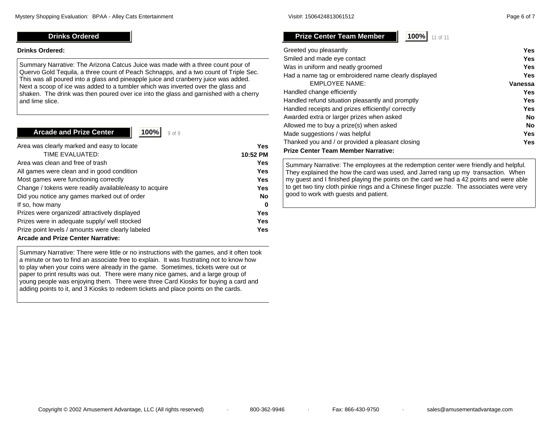# **Drinks Ordered**

#### **Drinks Ordered:**

Summary Narrative: The Arizona Catcus Juice was made with a three count pour of Quervo Gold Tequila, a three count of Peach Schnapps, and a two count of Triple Sec. This was all poured into a glass and pineapple juice and cranberry juice was added. Next a scoop of ice was added to a tumbler which was inverted over the glass and shaken. The drink was then poured over ice into the glass and garnished with a cherry and lime slice.

# **Arcade and Prize Center**

 **100%** $\frac{9}{9}$  9 of 9

| Area was clearly marked and easy to locate             | Yes        |
|--------------------------------------------------------|------------|
| TIME EVALUATED:                                        | 10:52 PM   |
| Area was clean and free of trash                       | <b>Yes</b> |
| All games were clean and in good condition             | <b>Yes</b> |
| Most games were functioning correctly                  | <b>Yes</b> |
| Change / tokens were readily available/easy to acquire | Yes        |
| Did you notice any games marked out of order           | <b>No</b>  |
| If so, how many                                        | 0          |
| Prizes were organized/attractively displayed           | <b>Yes</b> |
| Prizes were in adequate supply/ well stocked           | <b>Yes</b> |
| Prize point levels / amounts were clearly labeled      | <b>Yes</b> |
| Arcade and Prize Center Narrative.                     |            |

## **Arcade and Prize Center Narrative:**

Summary Narrative: There were little or no instructions with the games, and it often took a minute or two to find an associate free to explain. It was frustrating not to know how to play when your coins were already in the game. Sometimes, tickets were out or paper to print results was out. There were many nice games, and a large group of young people was enjoying them. There were three Card Kiosks for buying a card and adding points to it, and 3 Kiosks to redeem tickets and place points on the cards.

**Prize Center Team Member**

 **100%** $70$  | 11 of 11

| Greeted you pleasantly                               | Yes        |
|------------------------------------------------------|------------|
| Smiled and made eye contact                          | <b>Yes</b> |
| Was in uniform and neatly groomed                    | <b>Yes</b> |
| Had a name tag or embroidered name clearly displayed | <b>Yes</b> |
| <b>EMPLOYEE NAME:</b>                                | Vanessa    |
| Handled change efficiently                           | <b>Yes</b> |
| Handled refund situation pleasantly and promptly     | <b>Yes</b> |
| Handled receipts and prizes efficiently/ correctly   | <b>Yes</b> |
| Awarded extra or larger prizes when asked            | No         |
| Allowed me to buy a prize(s) when asked              | <b>No</b>  |
| Made suggestions / was helpful                       | <b>Yes</b> |
| Thanked you and / or provided a pleasant closing     | <b>Yes</b> |
| Prize Center Team Member Narrative:                  |            |

Summary Narrative: The employees at the redemption center were friendly and helpful. They explained the how the card was used, and Jarred rang up my transaction. When my guest and I finished playing the points on the card we had a 42 points and were able to get two tiny cloth pinkie rings and a Chinese finger puzzle. The associates were very good to work with guests and patient.